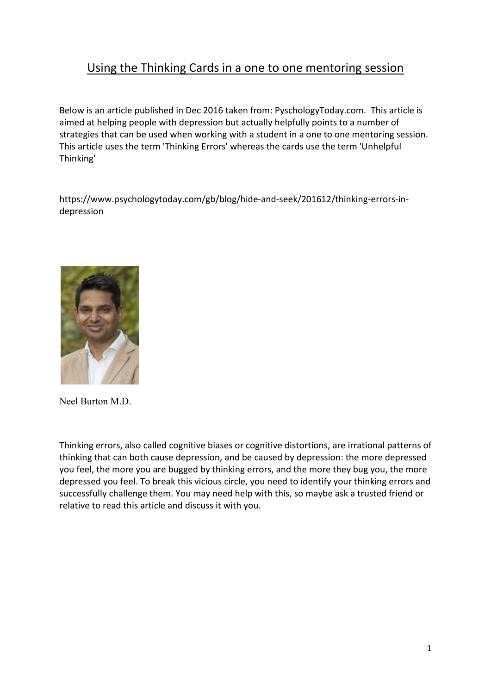## Using the Thinking Cards in a one to one mentoring session

Below is an article published in Dec 2016 taken from: PyschologyToday.com. This article is aimed at helping people with depression but actually helpfully points to a number of strategies that can be used when working with a student in a one to one mentoring session. This article uses the term 'Thinking Errors' whereas the cards use the term 'Unhelpful Thinking'

https://www.psychologytoday.com/gb/blog/hide-and-seek/201612/thinking-errors-indepression



Neel Burton M.D.

Thinking errors, also called cognitive biases or cognitive distortions, are irrational patterns of thinking that can both cause depression, and be caused by depression: the more depressed you feel, the more you are bugged by thinking errors, and the more they bug you, the more depressed you feel. To break this vicious circle, you need to identify your thinking errors and successfully challenge them. You may need help with this, so maybe ask a trusted friend or relative to read this article and discuss it with you.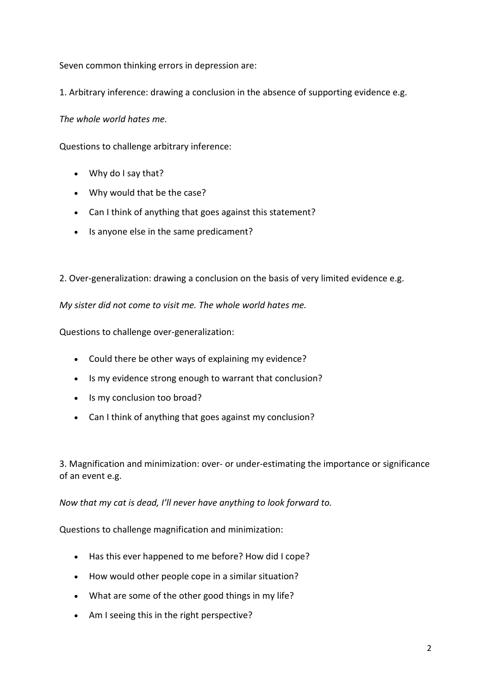Seven common thinking errors in depression are:

1. Arbitrary inference: drawing a conclusion in the absence of supporting evidence e.g.

*The whole world hates me.*

Questions to challenge arbitrary inference:

- Why do I say that?
- Why would that be the case?
- Can I think of anything that goes against this statement?
- Is anyone else in the same predicament?

2. Over-generalization: drawing a conclusion on the basis of very limited evidence e.g.

*My sister did not come to visit me. The whole world hates me.*

Questions to challenge over-generalization:

- Could there be other ways of explaining my evidence?
- Is my evidence strong enough to warrant that conclusion?
- Is my conclusion too broad?
- Can I think of anything that goes against my conclusion?

3. Magnification and minimization: over- or under-estimating the importance or significance of an event e.g.

*Now that my cat is dead, I'll never have anything to look forward to.*

Questions to challenge magnification and minimization:

- Has this ever happened to me before? How did I cope?
- How would other people cope in a similar situation?
- What are some of the other good things in my life?
- Am I seeing this in the right perspective?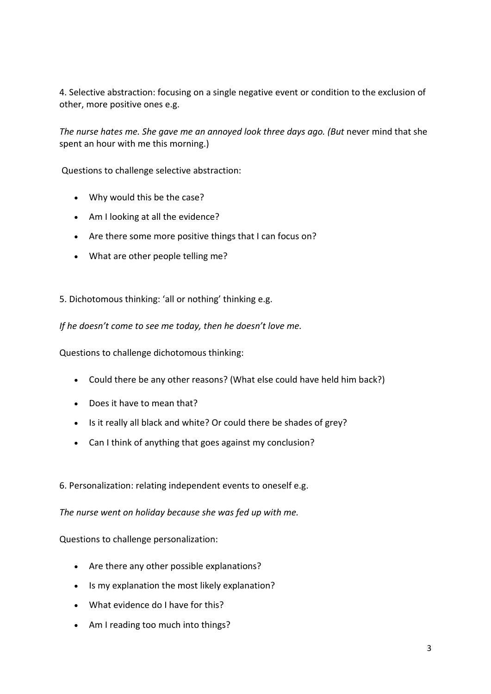4. Selective abstraction: focusing on a single negative event or condition to the exclusion of other, more positive ones e.g.

The nurse hates me. She gave me an annoyed look three days ago. (But never mind that she spent an hour with me this morning.)

Questions to challenge selective abstraction:

- Why would this be the case?
- Am I looking at all the evidence?
- Are there some more positive things that I can focus on?
- What are other people telling me?

## 5. Dichotomous thinking: 'all or nothing' thinking e.g.

*If he doesn't come to see me today, then he doesn't love me.*

Questions to challenge dichotomous thinking:

- Could there be any other reasons? (What else could have held him back?)
- Does it have to mean that?
- Is it really all black and white? Or could there be shades of grey?
- Can I think of anything that goes against my conclusion?

## 6. Personalization: relating independent events to oneself e.g.

*The nurse went on holiday because she was fed up with me.*

Questions to challenge personalization:

- Are there any other possible explanations?
- Is my explanation the most likely explanation?
- What evidence do I have for this?
- Am I reading too much into things?